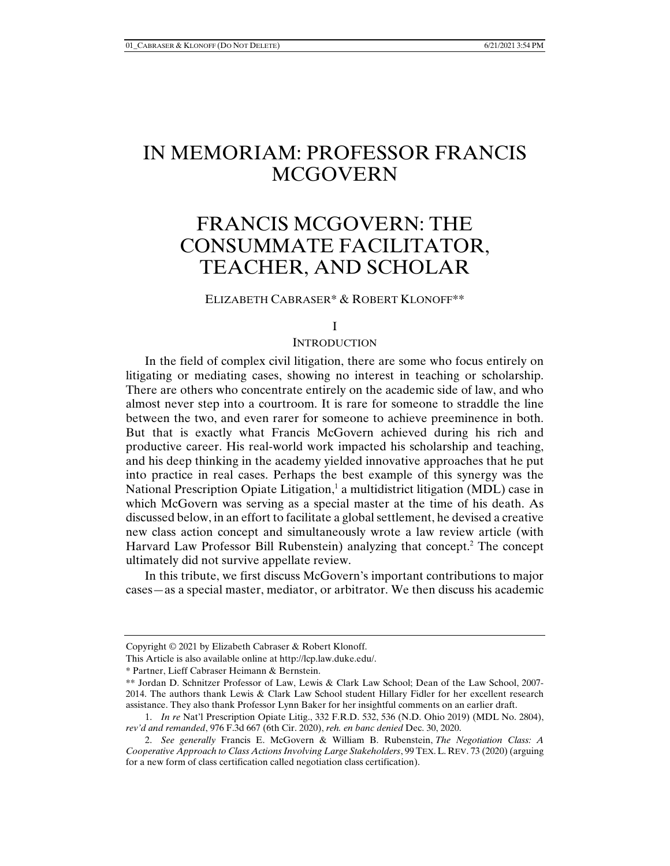# IN MEMORIAM: PROFESSOR FRANCIS **MCGOVERN**

# FRANCIS MCGOVERN: THE CONSUMMATE FACILITATOR, TEACHER, AND SCHOLAR

# ELIZABETH CABRASER\* & ROBERT KLONOFF\*\*

#### I

#### **INTRODUCTION**

In the field of complex civil litigation, there are some who focus entirely on litigating or mediating cases, showing no interest in teaching or scholarship. There are others who concentrate entirely on the academic side of law, and who almost never step into a courtroom. It is rare for someone to straddle the line between the two, and even rarer for someone to achieve preeminence in both. But that is exactly what Francis McGovern achieved during his rich and productive career. His real-world work impacted his scholarship and teaching, and his deep thinking in the academy yielded innovative approaches that he put into practice in real cases. Perhaps the best example of this synergy was the National Prescription Opiate Litigation,<sup>1</sup> a multidistrict litigation (MDL) case in which McGovern was serving as a special master at the time of his death. As discussed below, in an effort to facilitate a global settlement, he devised a creative new class action concept and simultaneously wrote a law review article (with Harvard Law Professor Bill Rubenstein) analyzing that concept.<sup>2</sup> The concept ultimately did not survive appellate review.

In this tribute, we first discuss McGovern's important contributions to major cases—as a special master, mediator, or arbitrator. We then discuss his academic

Copyright © 2021 by Elizabeth Cabraser & Robert Klonoff.

This Article is also available online at http://lcp.law.duke.edu/.

<sup>\*</sup> Partner, Lieff Cabraser Heimann & Bernstein.

<sup>\*\*</sup> Jordan D. Schnitzer Professor of Law, Lewis & Clark Law School; Dean of the Law School, 2007- 2014. The authors thank Lewis & Clark Law School student Hillary Fidler for her excellent research assistance. They also thank Professor Lynn Baker for her insightful comments on an earlier draft.

 <sup>1.</sup> *In re* Nat'l Prescription Opiate Litig., 332 F.R.D. 532, 536 (N.D. Ohio 2019) (MDL No. 2804), *rev'd and remanded*, 976 F.3d 667 (6th Cir. 2020), *reh. en banc denied* Dec. 30, 2020.

 <sup>2.</sup> *See generally* Francis E. McGovern & William B. Rubenstein, *The Negotiation Class: A Cooperative Approach to Class Actions Involving Large Stakeholders*, 99 TEX.L. REV. 73 (2020) (arguing for a new form of class certification called negotiation class certification).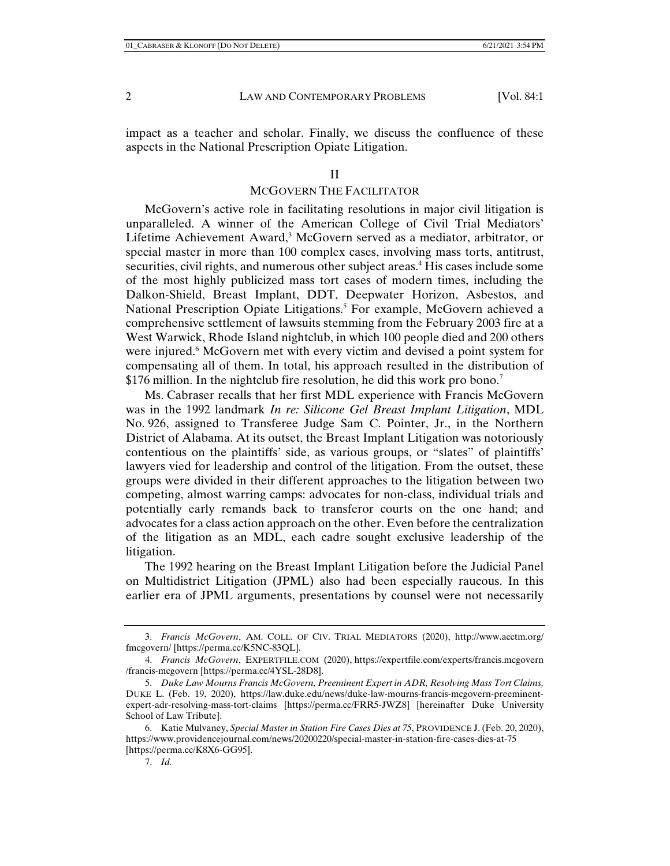impact as a teacher and scholar. Finally, we discuss the confluence of these aspects in the National Prescription Opiate Litigation.

#### II

### MCGOVERN THE FACILITATOR

McGovern's active role in facilitating resolutions in major civil litigation is unparalleled. A winner of the American College of Civil Trial Mediators' Lifetime Achievement Award,<sup>3</sup> McGovern served as a mediator, arbitrator, or special master in more than 100 complex cases, involving mass torts, antitrust, securities, civil rights, and numerous other subject areas.<sup>4</sup> His cases include some of the most highly publicized mass tort cases of modern times, including the Dalkon-Shield, Breast Implant, DDT, Deepwater Horizon, Asbestos, and National Prescription Opiate Litigations.<sup>5</sup> For example, McGovern achieved a comprehensive settlement of lawsuits stemming from the February 2003 fire at a West Warwick, Rhode Island nightclub, in which 100 people died and 200 others were injured.<sup>6</sup> McGovern met with every victim and devised a point system for compensating all of them. In total, his approach resulted in the distribution of \$176 million. In the nightclub fire resolution, he did this work pro bono.<sup>7</sup>

Ms. Cabraser recalls that her first MDL experience with Francis McGovern was in the 1992 landmark *In re: Silicone Gel Breast Implant Litigation*, MDL No. 926, assigned to Transferee Judge Sam C. Pointer, Jr., in the Northern District of Alabama. At its outset, the Breast Implant Litigation was notoriously contentious on the plaintiffs' side, as various groups, or "slates" of plaintiffs' lawyers vied for leadership and control of the litigation. From the outset, these groups were divided in their different approaches to the litigation between two competing, almost warring camps: advocates for non-class, individual trials and potentially early remands back to transferor courts on the one hand; and advocates for a class action approach on the other. Even before the centralization of the litigation as an MDL, each cadre sought exclusive leadership of the litigation.

The 1992 hearing on the Breast Implant Litigation before the Judicial Panel on Multidistrict Litigation (JPML) also had been especially raucous. In this earlier era of JPML arguments, presentations by counsel were not necessarily

 <sup>3.</sup> *Francis McGovern*, AM. COLL. OF CIV. TRIAL MEDIATORS (2020), http://www.acctm.org/ fmcgovern/ [https://perma.cc/K5NC-83QL].

 <sup>4.</sup> *Francis McGovern*, EXPERTFILE.COM (2020), https://expertfile.com/experts/francis.mcgovern /francis-mcgovern [https://perma.cc/4YSL-28D8].

 <sup>5.</sup> *Duke Law Mourns Francis McGovern, Preeminent Expert in ADR, Resolving Mass Tort Claims,* DUKE L. (Feb. 19, 2020), https://law.duke.edu/news/duke-law-mourns-francis-mcgovern-preeminentexpert-adr-resolving-mass-tort-claims [https://perma.cc/FRR5-JWZ8] [hereinafter Duke University School of Law Tribute].

 <sup>6.</sup> Katie Mulvaney, *Special Master in Station Fire Cases Dies at 75*, PROVIDENCE J.(Feb. 20, 2020), https://www.providencejournal.com/news/20200220/special-master-in-station-fire-cases-dies-at-75 [https://perma.cc/K8X6-GG95].

 <sup>7.</sup> *Id.*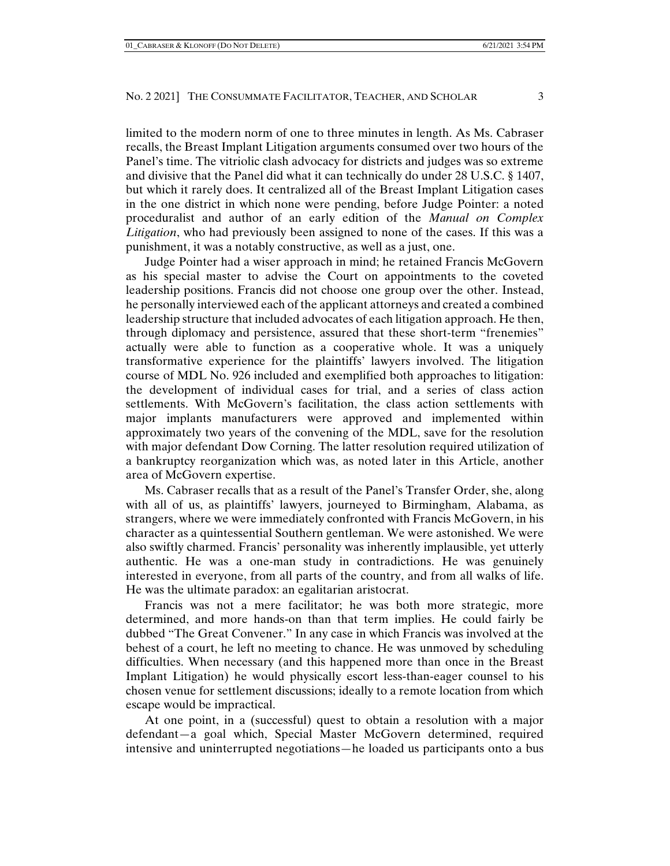limited to the modern norm of one to three minutes in length. As Ms. Cabraser recalls, the Breast Implant Litigation arguments consumed over two hours of the Panel's time. The vitriolic clash advocacy for districts and judges was so extreme and divisive that the Panel did what it can technically do under 28 U.S.C. § 1407, but which it rarely does. It centralized all of the Breast Implant Litigation cases in the one district in which none were pending, before Judge Pointer: a noted proceduralist and author of an early edition of the *Manual on Complex Litigation*, who had previously been assigned to none of the cases. If this was a punishment, it was a notably constructive, as well as a just, one.

Judge Pointer had a wiser approach in mind; he retained Francis McGovern as his special master to advise the Court on appointments to the coveted leadership positions. Francis did not choose one group over the other. Instead, he personally interviewed each of the applicant attorneys and created a combined leadership structure that included advocates of each litigation approach. He then, through diplomacy and persistence, assured that these short-term "frenemies" actually were able to function as a cooperative whole. It was a uniquely transformative experience for the plaintiffs' lawyers involved. The litigation course of MDL No. 926 included and exemplified both approaches to litigation: the development of individual cases for trial, and a series of class action settlements. With McGovern's facilitation, the class action settlements with major implants manufacturers were approved and implemented within approximately two years of the convening of the MDL, save for the resolution with major defendant Dow Corning. The latter resolution required utilization of a bankruptcy reorganization which was, as noted later in this Article, another area of McGovern expertise.

Ms. Cabraser recalls that as a result of the Panel's Transfer Order, she, along with all of us, as plaintiffs' lawyers, journeyed to Birmingham, Alabama, as strangers, where we were immediately confronted with Francis McGovern, in his character as a quintessential Southern gentleman. We were astonished. We were also swiftly charmed. Francis' personality was inherently implausible, yet utterly authentic. He was a one-man study in contradictions. He was genuinely interested in everyone, from all parts of the country, and from all walks of life. He was the ultimate paradox: an egalitarian aristocrat.

Francis was not a mere facilitator; he was both more strategic, more determined, and more hands-on than that term implies. He could fairly be dubbed "The Great Convener." In any case in which Francis was involved at the behest of a court, he left no meeting to chance. He was unmoved by scheduling difficulties. When necessary (and this happened more than once in the Breast Implant Litigation) he would physically escort less-than-eager counsel to his chosen venue for settlement discussions; ideally to a remote location from which escape would be impractical.

At one point, in a (successful) quest to obtain a resolution with a major defendant—a goal which, Special Master McGovern determined, required intensive and uninterrupted negotiations—he loaded us participants onto a bus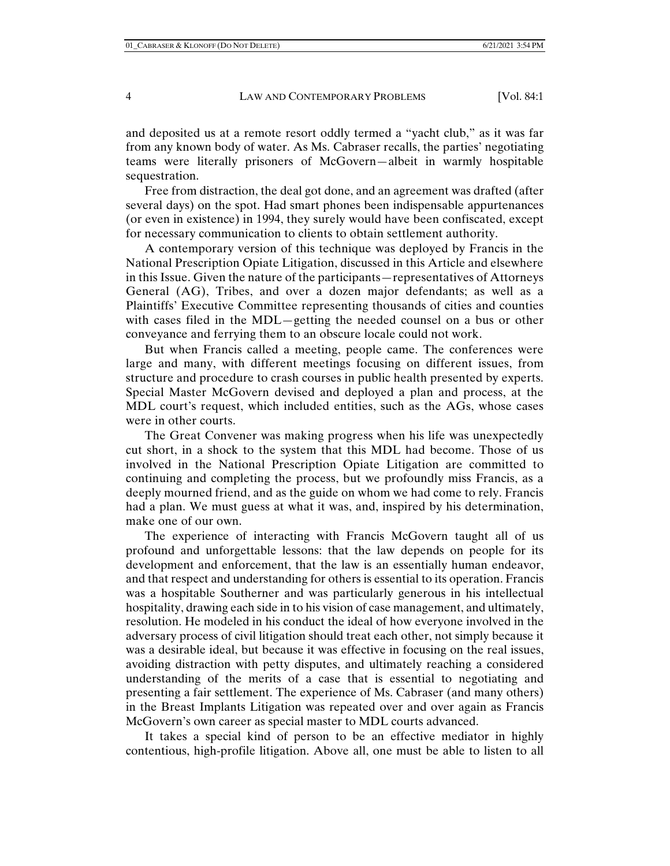and deposited us at a remote resort oddly termed a "yacht club," as it was far from any known body of water. As Ms. Cabraser recalls, the parties' negotiating teams were literally prisoners of McGovern—albeit in warmly hospitable sequestration.

Free from distraction, the deal got done, and an agreement was drafted (after several days) on the spot. Had smart phones been indispensable appurtenances (or even in existence) in 1994, they surely would have been confiscated, except for necessary communication to clients to obtain settlement authority.

A contemporary version of this technique was deployed by Francis in the National Prescription Opiate Litigation, discussed in this Article and elsewhere in this Issue. Given the nature of the participants—representatives of Attorneys General (AG), Tribes, and over a dozen major defendants; as well as a Plaintiffs' Executive Committee representing thousands of cities and counties with cases filed in the MDL—getting the needed counsel on a bus or other conveyance and ferrying them to an obscure locale could not work.

But when Francis called a meeting, people came. The conferences were large and many, with different meetings focusing on different issues, from structure and procedure to crash courses in public health presented by experts. Special Master McGovern devised and deployed a plan and process, at the MDL court's request, which included entities, such as the AGs, whose cases were in other courts.

The Great Convener was making progress when his life was unexpectedly cut short, in a shock to the system that this MDL had become. Those of us involved in the National Prescription Opiate Litigation are committed to continuing and completing the process, but we profoundly miss Francis, as a deeply mourned friend, and as the guide on whom we had come to rely. Francis had a plan. We must guess at what it was, and, inspired by his determination, make one of our own.

The experience of interacting with Francis McGovern taught all of us profound and unforgettable lessons: that the law depends on people for its development and enforcement, that the law is an essentially human endeavor, and that respect and understanding for others is essential to its operation. Francis was a hospitable Southerner and was particularly generous in his intellectual hospitality, drawing each side in to his vision of case management, and ultimately, resolution. He modeled in his conduct the ideal of how everyone involved in the adversary process of civil litigation should treat each other, not simply because it was a desirable ideal, but because it was effective in focusing on the real issues, avoiding distraction with petty disputes, and ultimately reaching a considered understanding of the merits of a case that is essential to negotiating and presenting a fair settlement. The experience of Ms. Cabraser (and many others) in the Breast Implants Litigation was repeated over and over again as Francis McGovern's own career as special master to MDL courts advanced.

It takes a special kind of person to be an effective mediator in highly contentious, high-profile litigation. Above all, one must be able to listen to all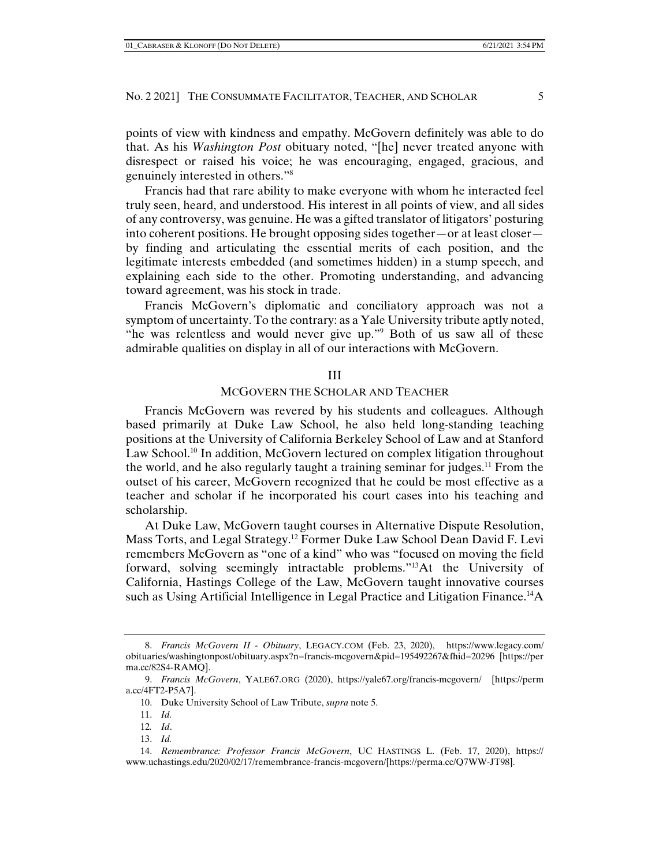points of view with kindness and empathy. McGovern definitely was able to do that. As his *Washington Post* obituary noted, "[he] never treated anyone with disrespect or raised his voice; he was encouraging, engaged, gracious, and genuinely interested in others."8

Francis had that rare ability to make everyone with whom he interacted feel truly seen, heard, and understood. His interest in all points of view, and all sides of any controversy, was genuine. He was a gifted translator of litigators' posturing into coherent positions. He brought opposing sides together—or at least closer by finding and articulating the essential merits of each position, and the legitimate interests embedded (and sometimes hidden) in a stump speech, and explaining each side to the other. Promoting understanding, and advancing toward agreement, was his stock in trade.

Francis McGovern's diplomatic and conciliatory approach was not a symptom of uncertainty. To the contrary: as a Yale University tribute aptly noted, "he was relentless and would never give up."9 Both of us saw all of these admirable qualities on display in all of our interactions with McGovern.

### III

## MCGOVERN THE SCHOLAR AND TEACHER

Francis McGovern was revered by his students and colleagues. Although based primarily at Duke Law School, he also held long-standing teaching positions at the University of California Berkeley School of Law and at Stanford Law School.<sup>10</sup> In addition, McGovern lectured on complex litigation throughout the world, and he also regularly taught a training seminar for judges.<sup>11</sup> From the outset of his career, McGovern recognized that he could be most effective as a teacher and scholar if he incorporated his court cases into his teaching and scholarship.

At Duke Law, McGovern taught courses in Alternative Dispute Resolution, Mass Torts, and Legal Strategy.12 Former Duke Law School Dean David F. Levi remembers McGovern as "one of a kind" who was "focused on moving the field forward, solving seemingly intractable problems."13At the University of California, Hastings College of the Law, McGovern taught innovative courses such as Using Artificial Intelligence in Legal Practice and Litigation Finance.14A

 <sup>8.</sup> *Francis McGovern II - Obituary*, LEGACY.COM (Feb. 23, 2020), https://www.legacy.com/ obituaries/washingtonpost/obituary.aspx?n=francis-mcgovern&pid=195492267&fhid=20296 [https://per ma.cc/82S4-RAMQ].

 <sup>9.</sup> *Francis McGovern*, YALE67.ORG (2020), https://yale67.org/francis-mcgovern/ [https://perm a.cc/4FT2-P5A7].

 <sup>10.</sup> Duke University School of Law Tribute, *supra* note 5.

 <sup>11.</sup> *Id.* 

<sup>12</sup>*. Id*.

 <sup>13.</sup> *Id.*

 <sup>14.</sup> *Remembrance: Professor Francis McGovern*, UC HASTINGS L. (Feb. 17, 2020), https:// www.uchastings.edu/2020/02/17/remembrance-francis-mcgovern/[https://perma.cc/Q7WW-JT98].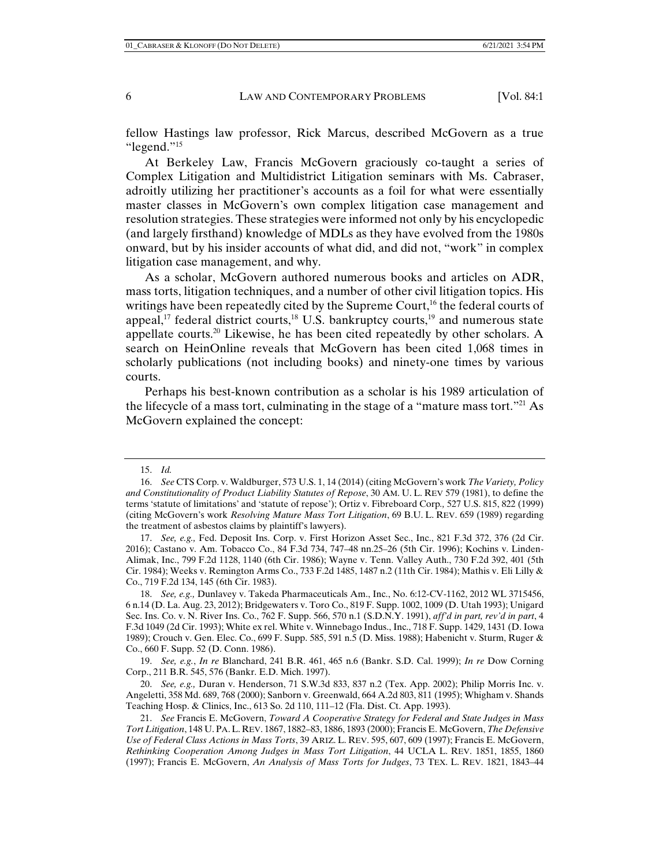fellow Hastings law professor, Rick Marcus, described McGovern as a true "legend."15

At Berkeley Law, Francis McGovern graciously co-taught a series of Complex Litigation and Multidistrict Litigation seminars with Ms. Cabraser, adroitly utilizing her practitioner's accounts as a foil for what were essentially master classes in McGovern's own complex litigation case management and resolution strategies. These strategies were informed not only by his encyclopedic (and largely firsthand) knowledge of MDLs as they have evolved from the 1980s onward, but by his insider accounts of what did, and did not, "work" in complex litigation case management, and why.

As a scholar, McGovern authored numerous books and articles on ADR, mass torts, litigation techniques, and a number of other civil litigation topics. His writings have been repeatedly cited by the Supreme Court,<sup>16</sup> the federal courts of appeal,<sup>17</sup> federal district courts,<sup>18</sup> U.S. bankruptcy courts,<sup>19</sup> and numerous state appellate courts.20 Likewise, he has been cited repeatedly by other scholars. A search on HeinOnline reveals that McGovern has been cited 1,068 times in scholarly publications (not including books) and ninety-one times by various courts.

Perhaps his best-known contribution as a scholar is his 1989 articulation of the lifecycle of a mass tort, culminating in the stage of a "mature mass tort."21 As McGovern explained the concept:

 <sup>15.</sup> *Id.*

 <sup>16.</sup> *See* CTS Corp. v. Waldburger, 573 U.S. 1, 14 (2014) (citing McGovern's work *The Variety, Policy and Constitutionality of Product Liability Statutes of Repose*, 30 AM. U. L. REV 579 (1981), to define the terms 'statute of limitations' and 'statute of repose'); Ortiz v. Fibreboard Corp*.,* 527 U.S. 815, 822 (1999) (citing McGovern's work *Resolving Mature Mass Tort Litigation*, 69 B.U. L. REV. 659 (1989) regarding the treatment of asbestos claims by plaintiff's lawyers).

 <sup>17.</sup> *See, e.g.,* Fed. Deposit Ins. Corp. v. First Horizon Asset Sec., Inc., 821 F.3d 372, 376 (2d Cir. 2016); Castano v. Am. Tobacco Co., 84 F.3d 734, 747–48 nn.25–26 (5th Cir. 1996); Kochins v. Linden-Alimak, Inc., 799 F.2d 1128, 1140 (6th Cir. 1986); Wayne v. Tenn. Valley Auth., 730 F.2d 392, 401 (5th Cir. 1984); Weeks v. Remington Arms Co., 733 F.2d 1485, 1487 n.2 (11th Cir. 1984); Mathis v. Eli Lilly & Co., 719 F.2d 134, 145 (6th Cir. 1983).

 <sup>18.</sup> *See, e.g.,* Dunlavey v. Takeda Pharmaceuticals Am., Inc., No. 6:12-CV-1162, 2012 WL 3715456, 6 n.14 (D. La. Aug. 23, 2012); Bridgewaters v. Toro Co., 819 F. Supp. 1002, 1009 (D. Utah 1993); Unigard Sec. Ins. Co. v. N. River Ins. Co., 762 F. Supp. 566, 570 n.1 (S.D.N.Y. 1991), *aff'd in part, rev'd in part*, 4 F.3d 1049 (2d Cir. 1993); White ex rel. White v. Winnebago Indus., Inc., 718 F. Supp. 1429, 1431 (D. Iowa 1989); Crouch v. Gen. Elec. Co., 699 F. Supp. 585, 591 n.5 (D. Miss. 1988); Habenicht v. Sturm, Ruger & Co., 660 F. Supp. 52 (D. Conn. 1986).

 <sup>19.</sup> *See, e.g.*, *In re* Blanchard, 241 B.R. 461, 465 n.6 (Bankr. S.D. Cal. 1999); *In re* Dow Corning Corp., 211 B.R. 545, 576 (Bankr. E.D. Mich. 1997).

 <sup>20.</sup> *See, e.g.,* Duran v. Henderson, 71 S.W.3d 833, 837 n.2 (Tex. App. 2002); Philip Morris Inc. v. Angeletti, 358 Md. 689, 768 (2000); Sanborn v. Greenwald, 664 A.2d 803, 811 (1995); Whigham v. Shands Teaching Hosp. & Clinics, Inc., 613 So. 2d 110, 111–12 (Fla. Dist. Ct. App. 1993).

 <sup>21.</sup> *See* Francis E. McGovern, *Toward A Cooperative Strategy for Federal and State Judges in Mass Tort Litigation*, 148 U. PA.L. REV. 1867, 1882–83, 1886, 1893 (2000); Francis E. McGovern, *The Defensive Use of Federal Class Actions in Mass Torts*, 39 ARIZ. L. REV. 595, 607, 609 (1997); Francis E. McGovern, *Rethinking Cooperation Among Judges in Mass Tort Litigation*, 44 UCLA L. REV. 1851, 1855, 1860 (1997); Francis E. McGovern, *An Analysis of Mass Torts for Judges*, 73 TEX. L. REV. 1821, 1843–44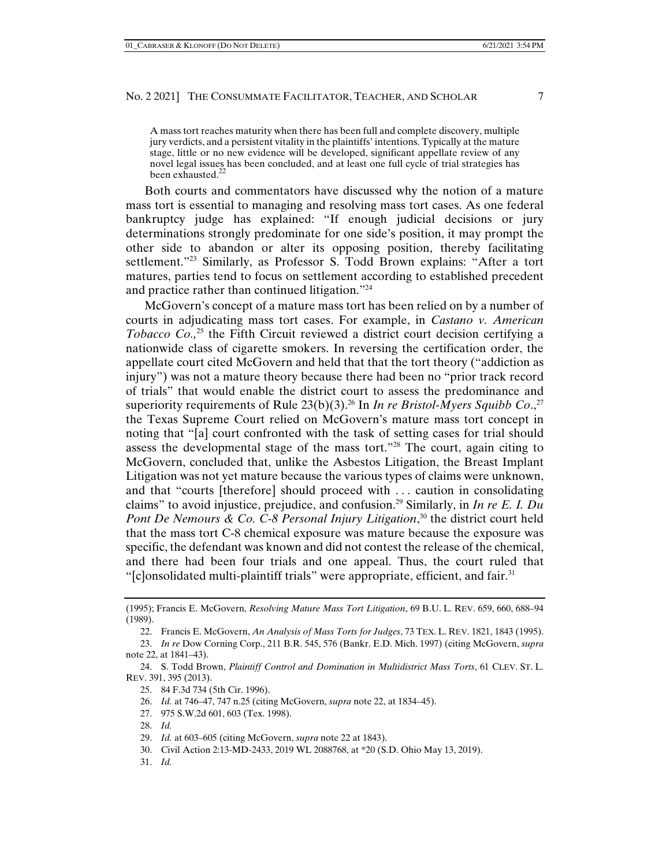A mass tort reaches maturity when there has been full and complete discovery, multiple jury verdicts, and a persistent vitality in the plaintiffs' intentions. Typically at the mature stage, little or no new evidence will be developed, significant appellate review of any novel legal issues has been concluded, and at least one full cycle of trial strategies has been exhausted.<sup>22</sup>

Both courts and commentators have discussed why the notion of a mature mass tort is essential to managing and resolving mass tort cases. As one federal bankruptcy judge has explained: "If enough judicial decisions or jury determinations strongly predominate for one side's position, it may prompt the other side to abandon or alter its opposing position, thereby facilitating settlement."23 Similarly, as Professor S. Todd Brown explains: "After a tort matures, parties tend to focus on settlement according to established precedent and practice rather than continued litigation."24

McGovern's concept of a mature mass tort has been relied on by a number of courts in adjudicating mass tort cases. For example, in *Castano v. American Tobacco Co.*<sup>25</sup> the Fifth Circuit reviewed a district court decision certifying a nationwide class of cigarette smokers. In reversing the certification order, the appellate court cited McGovern and held that that the tort theory ("addiction as injury") was not a mature theory because there had been no "prior track record of trials" that would enable the district court to assess the predominance and superiority requirements of Rule  $23(b)(3)$ .<sup>26</sup> In *In re Bristol-Myers Squibb Co.*<sup>27</sup> the Texas Supreme Court relied on McGovern's mature mass tort concept in noting that "[a] court confronted with the task of setting cases for trial should assess the developmental stage of the mass tort."28 The court, again citing to McGovern, concluded that, unlike the Asbestos Litigation, the Breast Implant Litigation was not yet mature because the various types of claims were unknown, and that "courts [therefore] should proceed with . . . caution in consolidating claims" to avoid injustice, prejudice, and confusion.29 Similarly, in *In re E. I. Du Pont De Nemours & Co. C-8 Personal Injury Litigation*, 30 the district court held that the mass tort C-8 chemical exposure was mature because the exposure was specific, the defendant was known and did not contest the release of the chemical, and there had been four trials and one appeal. Thus, the court ruled that "[c]onsolidated multi-plaintiff trials" were appropriate, efficient, and fair.<sup>31</sup>

- 25. 84 F.3d 734 (5th Cir. 1996).
- 26. *Id.* at 746–47, 747 n.25 (citing McGovern, *supra* note 22, at 1834–45).
- 27. 975 S.W.2d 601, 603 (Tex. 1998).
- 28. *Id.*

- 30. Civil Action 2:13-MD-2433, 2019 WL 2088768, at \*20 (S.D. Ohio May 13, 2019).
- 31. *Id.*

<sup>(1995);</sup> Francis E. McGovern, *Resolving Mature Mass Tort Litigation*, 69 B.U. L. REV. 659, 660, 688–94 (1989).

 <sup>22.</sup> Francis E. McGovern, *An Analysis of Mass Torts for Judges*, 73 TEX. L. REV. 1821, 1843 (1995).

 <sup>23.</sup> *In re* Dow Corning Corp., 211 B.R. 545, 576 (Bankr. E.D. Mich. 1997) (citing McGovern, *supra*  note 22, at 1841–43).

 <sup>24.</sup> S. Todd Brown, *Plaintiff Control and Domination in Multidistrict Mass Torts*, 61 CLEV. ST. L. REV. 391, 395 (2013).

 <sup>29.</sup> *Id.* at 603–605 (citing McGovern, *supra* note 22 at 1843).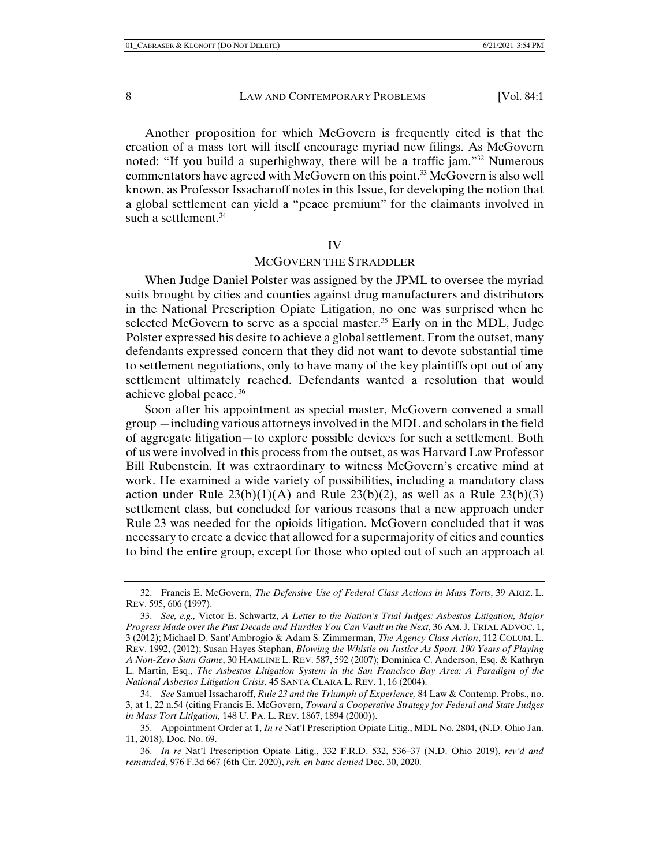Another proposition for which McGovern is frequently cited is that the creation of a mass tort will itself encourage myriad new filings. As McGovern noted: "If you build a superhighway, there will be a traffic jam."32 Numerous commentators have agreed with McGovern on this point.<sup>33</sup> McGovern is also well known, as Professor Issacharoff notes in this Issue, for developing the notion that a global settlement can yield a "peace premium" for the claimants involved in such a settlement.<sup>34</sup>

#### IV

### MCGOVERN THE STRADDLER

When Judge Daniel Polster was assigned by the JPML to oversee the myriad suits brought by cities and counties against drug manufacturers and distributors in the National Prescription Opiate Litigation, no one was surprised when he selected McGovern to serve as a special master.<sup>35</sup> Early on in the MDL, Judge Polster expressed his desire to achieve a global settlement. From the outset, many defendants expressed concern that they did not want to devote substantial time to settlement negotiations, only to have many of the key plaintiffs opt out of any settlement ultimately reached. Defendants wanted a resolution that would achieve global peace.<sup>36</sup>

Soon after his appointment as special master, McGovern convened a small group —including various attorneys involved in the MDL and scholars in the field of aggregate litigation—to explore possible devices for such a settlement. Both of us were involved in this process from the outset, as was Harvard Law Professor Bill Rubenstein. It was extraordinary to witness McGovern's creative mind at work. He examined a wide variety of possibilities, including a mandatory class action under Rule  $23(b)(1)(A)$  and Rule  $23(b)(2)$ , as well as a Rule  $23(b)(3)$ settlement class, but concluded for various reasons that a new approach under Rule 23 was needed for the opioids litigation. McGovern concluded that it was necessary to create a device that allowed for a supermajority of cities and counties to bind the entire group, except for those who opted out of such an approach at

 <sup>32.</sup> Francis E. McGovern, *The Defensive Use of Federal Class Actions in Mass Torts*, 39 ARIZ. L. REV. 595, 606 (1997).

 <sup>33.</sup> *See, e.g.,* Victor E. Schwartz, *A Letter to the Nation's Trial Judges: Asbestos Litigation, Major Progress Made over the Past Decade and Hurdles You Can Vault in the Next*, 36 AM. J. TRIAL ADVOC. 1, 3 (2012); Michael D. Sant'Ambrogio & Adam S. Zimmerman, *The Agency Class Action*, 112 COLUM. L. REV. 1992, (2012); Susan Hayes Stephan, *Blowing the Whistle on Justice As Sport: 100 Years of Playing A Non-Zero Sum Game*, 30 HAMLINE L. REV. 587, 592 (2007); Dominica C. Anderson, Esq. & Kathryn L. Martin, Esq., *The Asbestos Litigation System in the San Francisco Bay Area: A Paradigm of the National Asbestos Litigation Crisis*, 45 SANTA CLARA L. REV. 1, 16 (2004).

 <sup>34.</sup> *See* Samuel Issacharoff, *Rule 23 and the Triumph of Experience,* 84 Law & Contemp. Probs., no. 3, at 1, 22 n.54 (citing Francis E. McGovern, *Toward a Cooperative Strategy for Federal and State Judges in Mass Tort Litigation,* 148 U. PA. L. REV. 1867, 1894 (2000)).

 <sup>35.</sup> Appointment Order at 1, *In re* Nat'l Prescription Opiate Litig., MDL No. 2804, (N.D. Ohio Jan. 11, 2018), Doc. No. 69.

 <sup>36.</sup> *In re* Nat'l Prescription Opiate Litig., 332 F.R.D. 532, 536–37 (N.D. Ohio 2019), *rev'd and remanded*, 976 F.3d 667 (6th Cir. 2020), *reh. en banc denied* Dec. 30, 2020.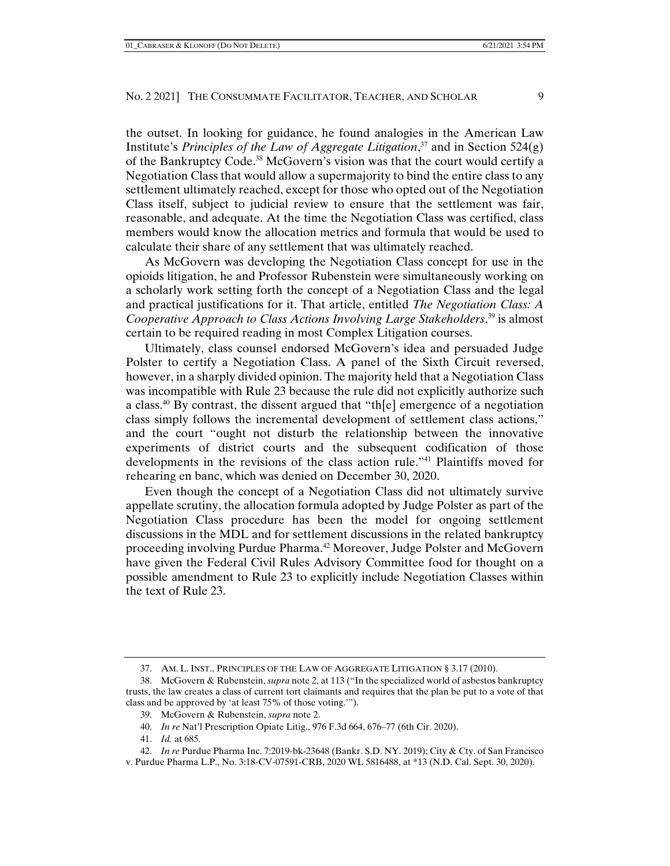the outset. In looking for guidance, he found analogies in the American Law Institute's *Principles of the Law of Aggregate Litigation*, 37 and in Section 524(g) of the Bankruptcy Code.38 McGovern's vision was that the court would certify a Negotiation Class that would allow a supermajority to bind the entire class to any settlement ultimately reached, except for those who opted out of the Negotiation Class itself, subject to judicial review to ensure that the settlement was fair, reasonable, and adequate. At the time the Negotiation Class was certified, class members would know the allocation metrics and formula that would be used to calculate their share of any settlement that was ultimately reached.

As McGovern was developing the Negotiation Class concept for use in the opioids litigation, he and Professor Rubenstein were simultaneously working on a scholarly work setting forth the concept of a Negotiation Class and the legal and practical justifications for it. That article, entitled *The Negotiation Class: A Cooperative Approach to Class Actions Involving Large Stakeholders*, 39 is almost certain to be required reading in most Complex Litigation courses.

Ultimately, class counsel endorsed McGovern's idea and persuaded Judge Polster to certify a Negotiation Class. A panel of the Sixth Circuit reversed, however, in a sharply divided opinion. The majority held that a Negotiation Class was incompatible with Rule 23 because the rule did not explicitly authorize such a class.<sup>40</sup> By contrast, the dissent argued that "the emergence of a negotiation" class simply follows the incremental development of settlement class actions," and the court "ought not disturb the relationship between the innovative experiments of district courts and the subsequent codification of those developments in the revisions of the class action rule."41 Plaintiffs moved for rehearing en banc, which was denied on December 30, 2020.

Even though the concept of a Negotiation Class did not ultimately survive appellate scrutiny, the allocation formula adopted by Judge Polster as part of the Negotiation Class procedure has been the model for ongoing settlement discussions in the MDL and for settlement discussions in the related bankruptcy proceeding involving Purdue Pharma.42 Moreover, Judge Polster and McGovern have given the Federal Civil Rules Advisory Committee food for thought on a possible amendment to Rule 23 to explicitly include Negotiation Classes within the text of Rule 23.

- 40. *In re* Nat'l Prescription Opiate Litig., 976 F.3d 664, 676–77 (6th Cir. 2020).
- 41. *Id.* at 685.

 <sup>37.</sup> AM. L. INST., PRINCIPLES OF THE LAW OF AGGREGATE LITIGATION § 3.17 (2010).

 <sup>38.</sup> McGovern & Rubenstein, *supra* note 2, at 113 ("In the specialized world of asbestos bankruptcy trusts, the law creates a class of current tort claimants and requires that the plan be put to a vote of that class and be approved by 'at least 75% of those voting.'").

 <sup>39.</sup> McGovern & Rubenstein, *supra* note 2.

 <sup>42.</sup> *In re* Purdue Pharma Inc. 7:2019-bk-23648 (Bankr. S.D. NY. 2019); City & Cty. of San Francisco v. Purdue Pharma L.P., No. 3:18-CV-07591-CRB, 2020 WL 5816488, at \*13 (N.D. Cal. Sept. 30, 2020).